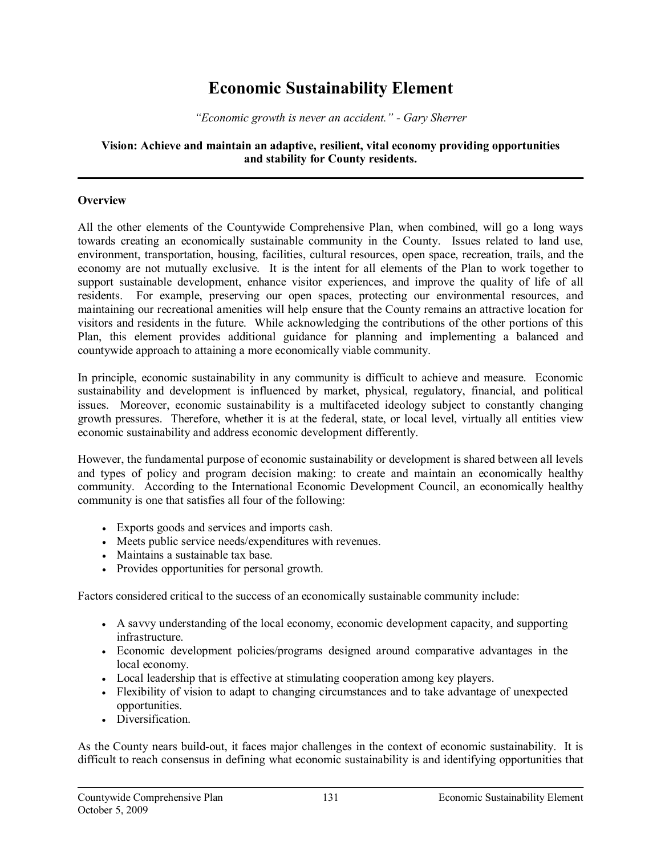# **Economic Sustainability Element**

*"Economic growth is never an accident." Gary Sherrer*

#### **Vision: Achieve and maintain an adaptive, resilient, vital economy providing opportunities and stability for County residents.**

## **Overview**

All the other elements of the Countywide Comprehensive Plan, when combined, will go a long ways towards creating an economically sustainable community in the County. Issues related to land use, environment, transportation, housing, facilities, cultural resources, open space, recreation, trails, and the economy are not mutually exclusive. It is the intent for all elements of the Plan to work together to support sustainable development, enhance visitor experiences, and improve the quality of life of all residents. For example, preserving our open spaces, protecting our environmental resources, and maintaining our recreational amenities will help ensure that the County remains an attractive location for visitors and residents in the future. While acknowledging the contributions of the other portions of this Plan, this element provides additional guidance for planning and implementing a balanced and countywide approach to attaining a more economically viable community.

In principle, economic sustainability in any community is difficult to achieve and measure. Economic sustainability and development is influenced by market, physical, regulatory, financial, and political issues. Moreover, economic sustainability is a multifaceted ideology subject to constantly changing growth pressures. Therefore, whether it is at the federal, state, or local level, virtually all entities view economic sustainability and address economic development differently.

However, the fundamental purpose of economic sustainability or development is shared between all levels and types of policy and program decision making: to create and maintain an economically healthy community. According to the International Economic Development Council, an economically healthy community is one that satisfies all four of the following:

- · Exports goods and services and imports cash.
- · Meets public service needs/expenditures with revenues.
- · Maintains a sustainable tax base.
- · Provides opportunities for personal growth.

Factors considered critical to the success of an economically sustainable community include:

- · A savvy understanding of the local economy, economic development capacity, and supporting infrastructure.
- · Economic development policies/programs designed around comparative advantages in the local economy.
- · Local leadership that is effective at stimulating cooperation among key players.
- · Flexibility of vision to adapt to changing circumstances and to take advantage of unexpected opportunities.
- Diversification

As the County nears build-out, it faces major challenges in the context of economic sustainability. It is difficult to reach consensus in defining what economic sustainability is and identifying opportunities that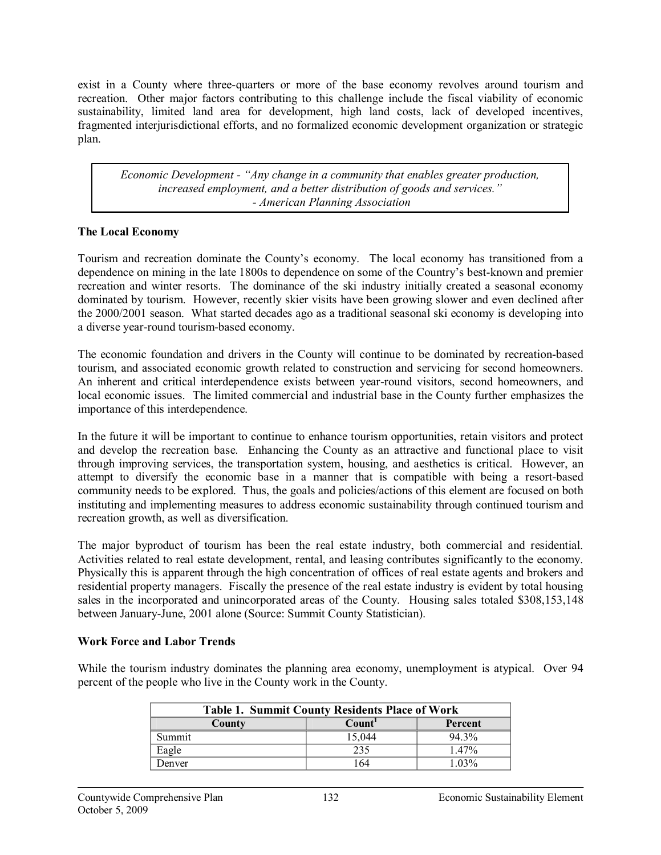exist in a County where three-quarters or more of the base economy revolves around tourism and recreation. Other major factors contributing to this challenge include the fiscal viability of economic sustainability, limited land area for development, high land costs, lack of developed incentives, fragmented interjurisdictional efforts, and no formalized economic development organization or strategic plan.

*Economic Development "Any change in a community that enables greater production, increased employment, and a better distribution of goods and services." American Planning Association*

# **The Local Economy**

Tourism and recreation dominate the County's economy. The local economy has transitioned from a dependence on mining in the late 1800s to dependence on some of the Country's best-known and premier recreation and winter resorts. The dominance of the ski industry initially created a seasonal economy dominated by tourism. However, recently skier visits have been growing slower and even declined after the 2000/2001 season. What started decades ago as a traditional seasonal ski economy is developing into a diverse year-round tourism-based economy.

The economic foundation and drivers in the County will continue to be dominated by recreationbased tourism, and associated economic growth related to construction and servicing for second homeowners. An inherent and critical interdependence exists between year-round visitors, second homeowners, and local economic issues. The limited commercial and industrial base in the County further emphasizes the importance of this interdependence.

In the future it will be important to continue to enhance tourism opportunities, retain visitors and protect and develop the recreation base. Enhancing the County as an attractive and functional place to visit through improving services, the transportation system, housing, and aesthetics is critical. However, an attempt to diversify the economic base in a manner that is compatible with being a resortbased community needs to be explored. Thus, the goals and policies/actions of this element are focused on both instituting and implementing measures to address economic sustainability through continued tourism and recreation growth, as well as diversification.

The major byproduct of tourism has been the real estate industry, both commercial and residential. Activities related to real estate development, rental, and leasing contributes significantly to the economy. Physically this is apparent through the high concentration of offices of real estate agents and brokers and residential property managers. Fiscally the presence of the real estate industry is evident by total housing sales in the incorporated and unincorporated areas of the County. Housing sales totaled \$308,153,148 between January-June, 2001 alone (Source: Summit County Statistician).

# **Work Force and Labor Trends**

While the tourism industry dominates the planning area economy, unemployment is atypical. Over 94 percent of the people who live in the County work in the County.

| <b>Table 1. Summit County Residents Place of Work</b> |                    |          |  |  |
|-------------------------------------------------------|--------------------|----------|--|--|
| County                                                | Count <sup>1</sup> | Percent  |  |  |
| Summit                                                | 15.044             | 94 3%    |  |  |
| Eagle                                                 | 235                | $1.47\%$ |  |  |
| Denver                                                | 164                | $1.03\%$ |  |  |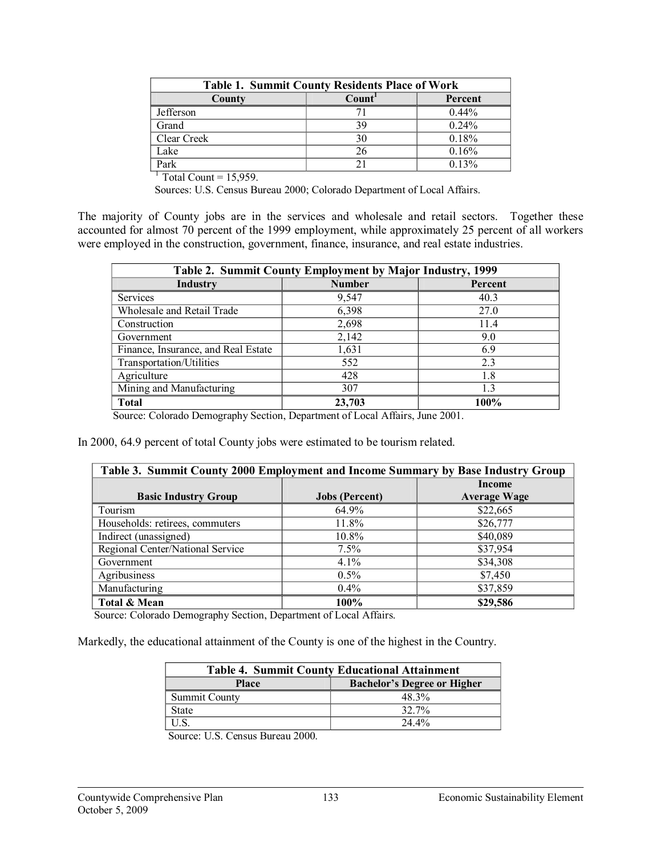| <b>Table 1. Summit County Residents Place of Work</b> |                    |         |  |  |
|-------------------------------------------------------|--------------------|---------|--|--|
| County                                                | Count <sup>1</sup> | Percent |  |  |
| Jefferson                                             |                    | 0.44%   |  |  |
| Grand                                                 | 39                 | 0.24%   |  |  |
| Clear Creek                                           | 30                 | 0.18%   |  |  |
| Lake                                                  | 26                 | 0.16%   |  |  |
| Park                                                  |                    | 0.13%   |  |  |

 $1$  Total Count = 15,959.

Sources: U.S. Census Bureau 2000; Colorado Department of Local Affairs.

The majority of County jobs are in the services and wholesale and retail sectors. Together these accounted for almost 70 percent of the 1999 employment, while approximately 25 percent of all workers were employed in the construction, government, finance, insurance, and real estate industries.

| Table 2. Summit County Employment by Major Industry, 1999 |               |         |  |  |
|-----------------------------------------------------------|---------------|---------|--|--|
| Industry                                                  | <b>Number</b> | Percent |  |  |
| <b>Services</b>                                           | 9.547         | 40.3    |  |  |
| Wholesale and Retail Trade                                | 6,398         | 27.0    |  |  |
| Construction                                              | 2,698         | 11.4    |  |  |
| Government                                                | 2,142         | 9.0     |  |  |
| Finance, Insurance, and Real Estate                       | 1,631         | 6.9     |  |  |
| Transportation/Utilities                                  | 552           | 2.3     |  |  |
| Agriculture                                               | 428           | 1.8     |  |  |
| Mining and Manufacturing                                  | 307           | 1.3     |  |  |
| <b>Total</b>                                              | 23,703        | 100%    |  |  |

Source: Colorado Demography Section, Department of Local Affairs, June 2001.

In 2000, 64.9 percent of total County jobs were estimated to be tourism related.

| Table 3. Summit County 2000 Employment and Income Summary by Base Industry Group |                       |                               |  |
|----------------------------------------------------------------------------------|-----------------------|-------------------------------|--|
| <b>Basic Industry Group</b>                                                      | <b>Jobs</b> (Percent) | Income<br><b>Average Wage</b> |  |
| Tourism                                                                          | 64.9%                 | \$22,665                      |  |
| Households: retirees, commuters                                                  | 11.8%                 | \$26,777                      |  |
| Indirect (unassigned)                                                            | 10.8%                 | \$40,089                      |  |
| Regional Center/National Service                                                 | 7.5%                  | \$37,954                      |  |
| Government                                                                       | 4.1%                  | \$34,308                      |  |
| Agribusiness                                                                     | 0.5%                  | \$7,450                       |  |
| Manufacturing                                                                    | $0.4\%$               | \$37,859                      |  |
| Total & Mean                                                                     | 100%                  | \$29,586                      |  |

Source: Colorado Demography Section, Department of Local Affairs.

Markedly, the educational attainment of the County is one of the highest in the Country.

| <b>Table 4. Summit County Educational Attainment</b> |                                    |  |
|------------------------------------------------------|------------------------------------|--|
| <b>Place</b>                                         | <b>Bachelor's Degree or Higher</b> |  |
| <b>Summit County</b>                                 | 48.3%                              |  |
| <b>State</b>                                         | 32.7%                              |  |
|                                                      | $24.4\%$                           |  |

Source: U.S. Census Bureau 2000.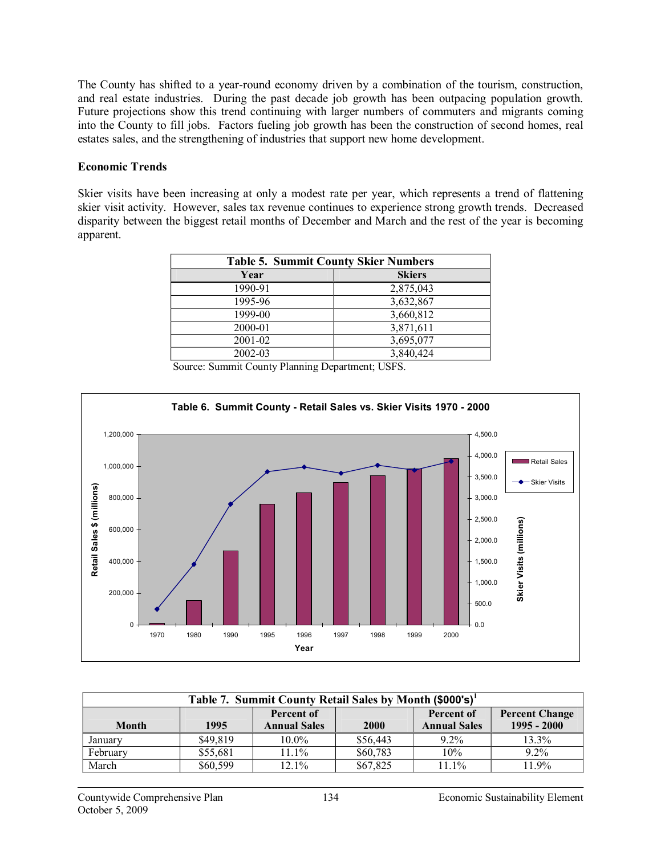The County has shifted to a year-round economy driven by a combination of the tourism, construction, and real estate industries. During the past decade job growth has been outpacing population growth. Future projections show this trend continuing with larger numbers of commuters and migrants coming into the County to fill jobs. Factors fueling job growth has been the construction of second homes, real estates sales, and the strengthening of industries that support new home development.

## **Economic Trends**

Skier visits have been increasing at only a modest rate per year, which represents a trend of flattening skier visit activity. However, sales tax revenue continues to experience strong growth trends. Decreased disparity between the biggest retail months of December and March and the rest of the year is becoming apparent.

| <b>Table 5. Summit County Skier Numbers</b> |               |  |
|---------------------------------------------|---------------|--|
| Year                                        | <b>Skiers</b> |  |
| 1990-91                                     | 2,875,043     |  |
| 1995-96                                     | 3,632,867     |  |
| 1999-00                                     | 3,660,812     |  |
| 2000-01                                     | 3,871,611     |  |
| 2001-02                                     | 3,695,077     |  |
| 2002-03                                     | 3,840,424     |  |



Source: Summit County Planning Department; USFS.

| Table 7. Summit County Retail Sales by Month (\$000's) <sup>1</sup> |                                                   |                     |          |                     |               |
|---------------------------------------------------------------------|---------------------------------------------------|---------------------|----------|---------------------|---------------|
|                                                                     | Percent of<br><b>Percent Change</b><br>Percent of |                     |          |                     |               |
| <b>Month</b>                                                        | 1995                                              | <b>Annual Sales</b> | 2000     | <b>Annual Sales</b> | $1995 - 2000$ |
| January                                                             | \$49,819                                          | $10.0\%$            | \$56,443 | $9.2\%$             | 13.3%         |
| February                                                            | \$55,681                                          | 11.1%               | \$60,783 | 10%                 | $9.2\%$       |
| March                                                               | \$60,599                                          | 12.1%               | \$67,825 | 11.1%               | 11.9%         |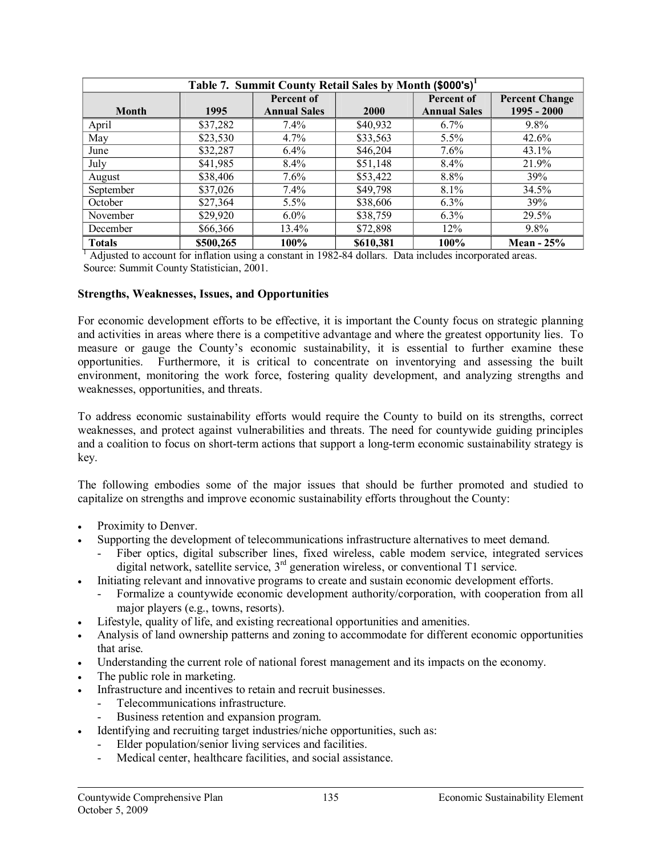| Table 7. Summit County Retail Sales by Month (\$000's) <sup>1</sup> |           |                     |           |                     |                       |
|---------------------------------------------------------------------|-----------|---------------------|-----------|---------------------|-----------------------|
|                                                                     |           | Percent of          |           | Percent of          | <b>Percent Change</b> |
| <b>Month</b>                                                        | 1995      | <b>Annual Sales</b> | 2000      | <b>Annual Sales</b> | $1995 - 2000$         |
| April                                                               | \$37,282  | $7.4\%$             | \$40,932  | $6.7\%$             | $9.8\%$               |
| May                                                                 | \$23,530  | $4.7\%$             | \$33,563  | $5.5\%$             | $42.6\%$              |
| June                                                                | \$32,287  | $6.4\%$             | \$46,204  | $7.6\%$             | 43.1%                 |
| July                                                                | \$41,985  | 8.4%                | \$51,148  | 8.4%                | 21.9%                 |
| August                                                              | \$38,406  | 7.6%                | \$53,422  | 8.8%                | 39%                   |
| September                                                           | \$37,026  | 7.4%                | \$49,798  | 8.1%                | 34.5%                 |
| October                                                             | \$27,364  | 5.5%                | \$38,606  | $6.3\%$             | 39%                   |
| November                                                            | \$29,920  | $6.0\%$             | \$38,759  | 6.3%                | 29.5%                 |
| December                                                            | \$66,366  | 13.4%               | \$72,898  | 12%                 | $9.8\%$               |
| <b>Totals</b>                                                       | \$500,265 | 100%                | \$610,381 | 100%                | Mean $-25%$           |

<sup>1</sup> Adjusted to account for inflation using a constant in 1982-84 dollars. Data includes incorporated areas. Source: Summit County Statistician, 2001.

## **Strengths, Weaknesses, Issues, and Opportunities**

For economic development efforts to be effective, it is important the County focus on strategic planning and activities in areas where there is a competitive advantage and where the greatest opportunity lies. To measure or gauge the County's economic sustainability, it is essential to further examine these opportunities. Furthermore, it is critical to concentrate on inventorying and assessing the built environment, monitoring the work force, fostering quality development, and analyzing strengths and weaknesses, opportunities, and threats.

To address economic sustainability efforts would require the County to build on its strengths, correct weaknesses, and protect against vulnerabilities and threats. The need for countywide guiding principles and a coalition to focus on short-term actions that support a long-term economic sustainability strategy is key.

The following embodies some of the major issues that should be further promoted and studied to capitalize on strengths and improve economic sustainability efforts throughout the County:

- Proximity to Denver.
- Supporting the development of telecommunications infrastructure alternatives to meet demand.
	- Fiber optics, digital subscriber lines, fixed wireless, cable modem service, integrated services digital network, satellite service,  $3<sup>rd</sup>$  generation wireless, or conventional T1 service.
- · Initiating relevant and innovative programs to create and sustain economic development efforts.
	- Formalize a countywide economic development authority/corporation, with cooperation from all major players (e.g., towns, resorts).
- Lifestyle, quality of life, and existing recreational opportunities and amenities.
- · Analysis of land ownership patterns and zoning to accommodate for different economic opportunities that arise.
- Understanding the current role of national forest management and its impacts on the economy.
- The public role in marketing.
- Infrastructure and incentives to retain and recruit businesses.
	- Telecommunications infrastructure.
	- Business retention and expansion program.
- Identifying and recruiting target industries/niche opportunities, such as:
	- Elder population/senior living services and facilities.
	- Medical center, healthcare facilities, and social assistance.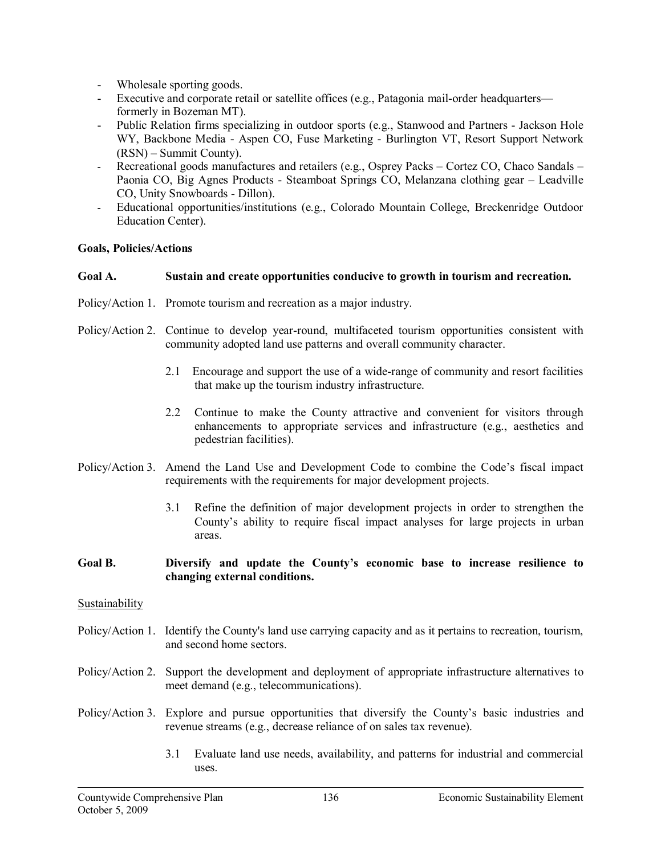- Wholesale sporting goods.
- Executive and corporate retail or satellite offices (e.g., Patagonia mail-order headquarters formerly in Bozeman MT).
- Public Relation firms specializing in outdoor sports (e.g., Stanwood and Partners Jackson Hole WY, Backbone Media - Aspen CO, Fuse Marketing - Burlington VT, Resort Support Network (RSN) – Summit County).
- Recreational goods manufactures and retailers (e.g., Osprey Packs Cortez CO, Chaco Sandals Paonia CO, Big Agnes Products - Steamboat Springs CO, Melanzana clothing gear – Leadville CO, Unity Snowboards - Dillon).
- Educational opportunities/institutions (e.g., Colorado Mountain College, Breckenridge Outdoor Education Center).

## **Goals, Policies/Actions**

## **Goal A. Sustain and create opportunities conducive to growth in tourism and recreation.**

- Policy/Action 1. Promote tourism and recreation as a major industry.
- Policy/Action 2. Continue to develop year-round, multifaceted tourism opportunities consistent with community adopted land use patterns and overall community character.
	- 2.1 Encourage and support the use of a widerange of community and resort facilities that make up the tourism industry infrastructure.
	- 2.2 Continue to make the County attractive and convenient for visitors through enhancements to appropriate services and infrastructure (e.g., aesthetics and pedestrian facilities).
- Policy/Action 3. Amend the Land Use and Development Code to combine the Code's fiscal impact requirements with the requirements for major development projects.
	- 3.1 Refine the definition of major development projects in order to strengthen the County's ability to require fiscal impact analyses for large projects in urban areas.

## **Goal B. Diversify and update the County's economic base to increase resilience to changing external conditions.**

## **Sustainability**

- Policy/Action 1. Identify the County's land use carrying capacity and as it pertains to recreation, tourism, and second home sectors.
- Policy/Action 2. Support the development and deployment of appropriate infrastructure alternatives to meet demand (e.g., telecommunications).
- Policy/Action 3. Explore and pursue opportunities that diversify the County's basic industries and revenue streams (e.g., decrease reliance of on sales tax revenue).
	- 3.1 Evaluate land use needs, availability, and patterns for industrial and commercial uses.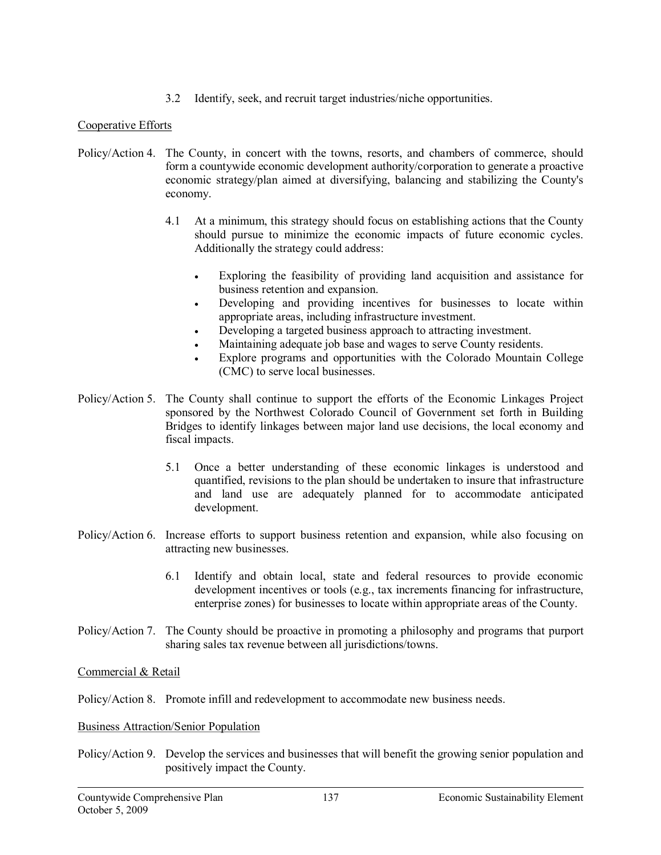3.2 Identify, seek, and recruit target industries/niche opportunities.

# Cooperative Efforts

- Policy/Action 4. The County, in concert with the towns, resorts, and chambers of commerce, should form a countywide economic development authority/corporation to generate a proactive economic strategy/plan aimed at diversifying, balancing and stabilizing the County's economy.
	- 4.1 At a minimum, this strategy should focus on establishing actions that the County should pursue to minimize the economic impacts of future economic cycles. Additionally the strategy could address:
		- · Exploring the feasibility of providing land acquisition and assistance for business retention and expansion.
		- · Developing and providing incentives for businesses to locate within appropriate areas, including infrastructure investment.
		- Developing a targeted business approach to attracting investment.
		- Maintaining adequate job base and wages to serve County residents.
		- Explore programs and opportunities with the Colorado Mountain College (CMC) to serve local businesses.
- Policy/Action 5. The County shall continue to support the efforts of the Economic Linkages Project sponsored by the Northwest Colorado Council of Government set forth in Building Bridges to identify linkages between major land use decisions, the local economy and fiscal impacts.
	- 5.1 Once a better understanding of these economic linkages is understood and quantified, revisions to the plan should be undertaken to insure that infrastructure and land use are adequately planned for to accommodate anticipated development.
- Policy/Action 6. Increase efforts to support business retention and expansion, while also focusing on attracting new businesses.
	- 6.1 Identify and obtain local, state and federal resources to provide economic development incentives or tools (e.g., tax increments financing for infrastructure, enterprise zones) for businesses to locate within appropriate areas of the County.
- Policy/Action 7. The County should be proactive in promoting a philosophy and programs that purport sharing sales tax revenue between all jurisdictions/towns.

# Commercial & Retail

Policy/Action 8. Promote infill and redevelopment to accommodate new business needs.

## Business Attraction/Senior Population

Policy/Action 9. Develop the services and businesses that will benefit the growing senior population and positively impact the County.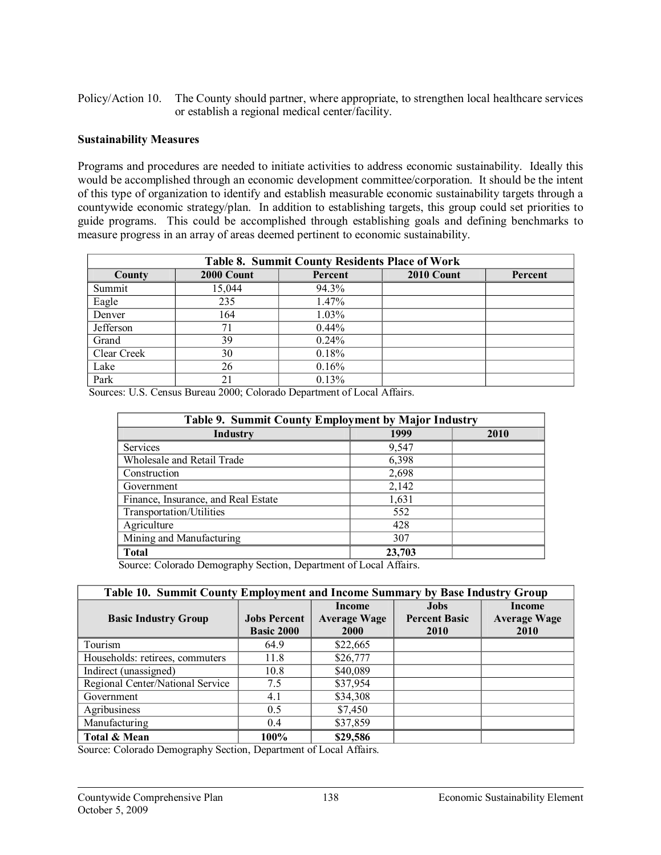Policy/Action 10. The County should partner, where appropriate, to strengthen local healthcare services or establish a regional medical center/facility.

## **Sustainability Measures**

Programs and procedures are needed to initiate activities to address economic sustainability. Ideally this would be accomplished through an economic development committee/corporation. It should be the intent of this type of organization to identify and establish measurable economic sustainability targets through a countywide economic strategy/plan. In addition to establishing targets, this group could set priorities to guide programs. This could be accomplished through establishing goals and defining benchmarks to measure progress in an array of areas deemed pertinent to economic sustainability.

| Table 8. Summit County Residents Place of Work |            |          |            |         |
|------------------------------------------------|------------|----------|------------|---------|
| County                                         | 2000 Count | Percent  | 2010 Count | Percent |
| Summit                                         | 15,044     | 94.3%    |            |         |
| Eagle                                          | 235        | 1.47%    |            |         |
| Denver                                         | 164        | $1.03\%$ |            |         |
| Jefferson                                      | 71         | $0.44\%$ |            |         |
| Grand                                          | 39         | $0.24\%$ |            |         |
| Clear Creek                                    | 30         | 0.18%    |            |         |
| Lake                                           | 26         | 0.16%    |            |         |
| Park                                           | 21         | 0.13%    |            |         |

Sources: U.S. Census Bureau 2000; Colorado Department of Local Affairs.

| Table 9. Summit County Employment by Major Industry |        |      |  |
|-----------------------------------------------------|--------|------|--|
| Industry                                            | 1999   | 2010 |  |
| Services                                            | 9,547  |      |  |
| Wholesale and Retail Trade                          | 6,398  |      |  |
| Construction                                        | 2,698  |      |  |
| Government                                          | 2,142  |      |  |
| Finance, Insurance, and Real Estate                 | 1,631  |      |  |
| Transportation/Utilities                            | 552    |      |  |
| Agriculture                                         | 428    |      |  |
| Mining and Manufacturing                            | 307    |      |  |
| <b>Total</b>                                        | 23,703 |      |  |

Source: Colorado Demography Section, Department of Local Affairs.

| Table 10. Summit County Employment and Income Summary by Base Industry Group |                                          |                                    |                                     |                             |
|------------------------------------------------------------------------------|------------------------------------------|------------------------------------|-------------------------------------|-----------------------------|
|                                                                              |                                          | Income                             | Jobs                                | Income                      |
| <b>Basic Industry Group</b>                                                  | <b>Jobs Percent</b><br><b>Basic 2000</b> | <b>Average Wage</b><br><b>2000</b> | <b>Percent Basic</b><br><b>2010</b> | <b>Average Wage</b><br>2010 |
|                                                                              |                                          |                                    |                                     |                             |
| Tourism                                                                      | 64.9                                     | \$22,665                           |                                     |                             |
| Households: retirees, commuters                                              | 11.8                                     | \$26,777                           |                                     |                             |
| Indirect (unassigned)                                                        | 10.8                                     | \$40,089                           |                                     |                             |
| Regional Center/National Service                                             | 7.5                                      | \$37,954                           |                                     |                             |
| Government                                                                   | 4.1                                      | \$34,308                           |                                     |                             |
| Agribusiness                                                                 | 0.5                                      | \$7,450                            |                                     |                             |
| Manufacturing                                                                | 0.4                                      | \$37,859                           |                                     |                             |
| Total & Mean                                                                 | 100%                                     | \$29,586                           |                                     |                             |

Source: Colorado Demography Section, Department of Local Affairs.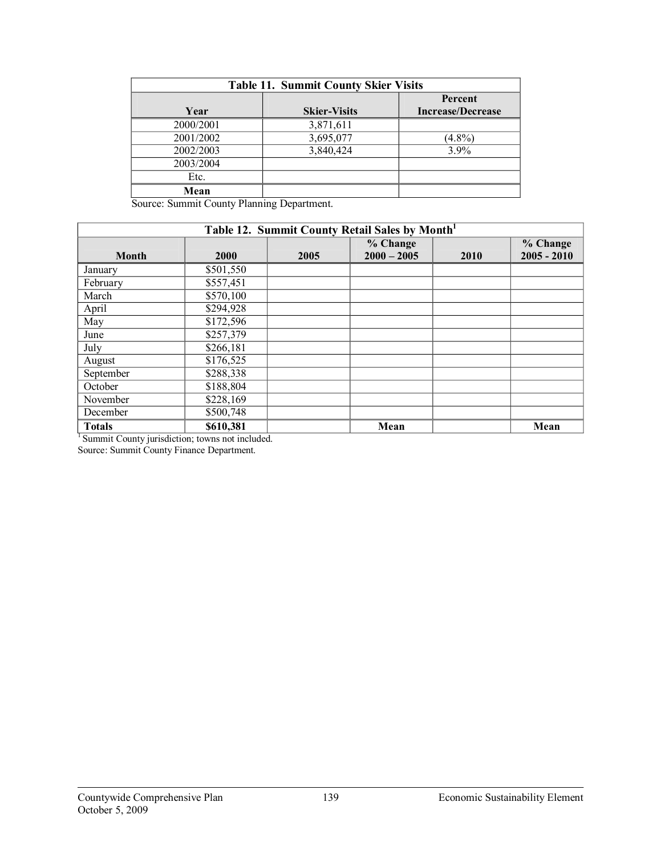| <b>Table 11. Summit County Skier Visits</b> |                     |                                     |  |
|---------------------------------------------|---------------------|-------------------------------------|--|
| Year                                        | <b>Skier-Visits</b> | Percent<br><b>Increase/Decrease</b> |  |
| 2000/2001                                   | 3,871,611           |                                     |  |
| 2001/2002                                   | 3,695,077           | $(4.8\%)$                           |  |
| 2002/2003                                   | 3,840,424           | $3.9\%$                             |  |
| 2003/2004                                   |                     |                                     |  |
| Etc.                                        |                     |                                     |  |
| Mean                                        |                     |                                     |  |

Source: Summit County Planning Department.

| Table 12. Summit County Retail Sales by Month <sup>1</sup> |             |      |                           |      |                           |  |
|------------------------------------------------------------|-------------|------|---------------------------|------|---------------------------|--|
| <b>Month</b>                                               | <b>2000</b> | 2005 | % Change<br>$2000 - 2005$ | 2010 | % Change<br>$2005 - 2010$ |  |
| January                                                    | \$501,550   |      |                           |      |                           |  |
| February                                                   | \$557,451   |      |                           |      |                           |  |
| March                                                      | \$570,100   |      |                           |      |                           |  |
| April                                                      | \$294,928   |      |                           |      |                           |  |
| May                                                        | \$172,596   |      |                           |      |                           |  |
| June                                                       | \$257,379   |      |                           |      |                           |  |
| July                                                       | \$266,181   |      |                           |      |                           |  |
| August                                                     | \$176,525   |      |                           |      |                           |  |
| September                                                  | \$288,338   |      |                           |      |                           |  |
| October                                                    | \$188,804   |      |                           |      |                           |  |
| November                                                   | \$228,169   |      |                           |      |                           |  |
| December                                                   | \$500,748   |      |                           |      |                           |  |
| <b>Totals</b>                                              | \$610,381   |      | Mean                      |      | Mean                      |  |

<sup>1</sup> Summit County jurisdiction; towns not included.

Source: Summit County Finance Department.